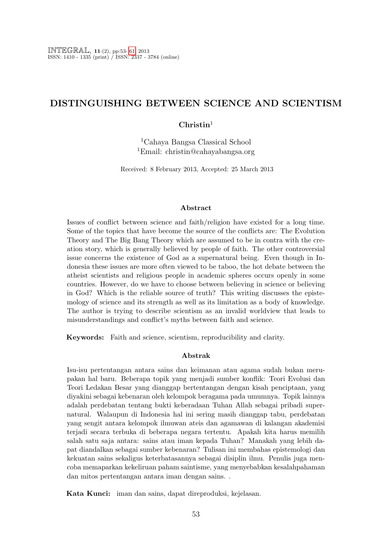### DISTINGUISHING BETWEEN SCIENCE AND SCIENTISM

#### $Christin<sup>1</sup>$

<sup>1</sup>Cahaya Bangsa Classical School <sup>1</sup>Email: christin@cahayabangsa.org

Received: 8 February 2013, Accepted: 25 March 2013

#### Abstract

Issues of conflict between science and faith/religion have existed for a long time. Some of the topics that have become the source of the conflicts are: The Evolution Theory and The Big Bang Theory which are assumed to be in contra with the creation story, which is generally believed by people of faith. The other controversial issue concerns the existence of God as a supernatural being. Even though in Indonesia these issues are more often viewed to be taboo, the hot debate between the atheist scientists and religious people in academic spheres occurs openly in some countries. However, do we have to choose between believing in science or believing in God? Which is the reliable source of truth? This writing discusses the epistemology of science and its strength as well as its limitation as a body of knowledge. The author is trying to describe scientism as an invalid worldview that leads to misunderstandings and conflict's myths between faith and science.

Keywords: Faith and science, scientism, reproducibility and clarity.

#### Abstrak

Isu-isu pertentangan antara sains dan keimanan atau agama sudah bukan merupakan hal baru. Beberapa topik yang menjadi sumber konflik: Teori Evolusi dan Teori Ledakan Besar yang dianggap bertentangan dengan kisah penciptaan, yang diyakini sebagai kebenaran oleh kelompok beragama pada umumnya. Topik lainnya adalah perdebatan tentang bukti keberadaan Tuhan Allah sebagai pribadi supernatural. Walaupun di Indonesia hal ini sering masih dianggap tabu, perdebatan yang sengit antara kelompok ilmuwan ateis dan agamawan di kalangan akademisi terjadi secara terbuka di beberapa negara tertentu. Apakah kita harus memilih salah satu saja antara: sains atau iman kepada Tuhan? Manakah yang lebih dapat diandalkan sebagai sumber kebenaran? Tulisan ini membahas epistemologi dan kekuatan sains sekaligus keterbatasannya sebagai disiplin ilmu. Penulis juga mencoba memaparkan kekeliruan paham saintisme, yang menyebabkan kesalahpahaman dan mitos pertentangan antara iman dengan sains. .

Kata Kunci: iman dan sains, dapat direproduksi, kejelasan.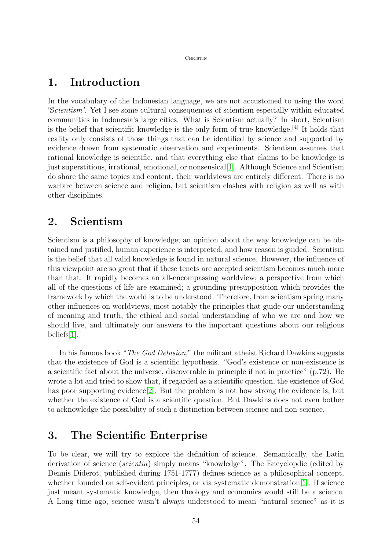#### **CHRISTIN**

# 1. Introduction

In the vocabulary of the Indonesian language, we are not accustomed to using the word 'Scientism'. Yet I see some cultural consequences of scientism especially within educated communities in Indonesia's large cities. What is Scientism actually? In short, Scientism is the belief that scientific knowledge is the only form of true knowledge.[4] It holds that reality only consists of those things that can be identified by science and supported by evidence drawn from systematic observation and experiments. Scientism assumes that rational knowledge is scientific, and that everything else that claims to be knowledge is just superstitious, irrational, emotional, or nonsensical[\[1\]](#page-8-1). Although Science and Scientism do share the same topics and content, their worldviews are entirely different. There is no warfare between science and religion, but scientism clashes with religion as well as with other disciplines.

# 2. Scientism

Scientism is a philosophy of knowledge; an opinion about the way knowledge can be obtained and justified, human experience is interpreted, and how reason is guided. Scientism is the belief that all valid knowledge is found in natural science. However, the influence of this viewpoint are so great that if these tenets are accepted scientism becomes much more than that. It rapidly becomes an all-encompassing worldview; a perspective from which all of the questions of life are examined; a grounding presupposition which provides the framework by which the world is to be understood. Therefore, from scientism spring many other influences on worldviews, most notably the principles that guide our understanding of meaning and truth, the ethical and social understanding of who we are and how we should live, and ultimately our answers to the important questions about our religious beliefs[\[1\]](#page-8-1).

In his famous book "The God Delusion," the militant atheist Richard Dawkins suggests that the existence of God is a scientific hypothesis. "God's existence or non-existence is a scientific fact about the universe, discoverable in principle if not in practice" (p.72). He wrote a lot and tried to show that, if regarded as a scientific question, the existence of God has poor supporting evidence<sup>[\[2\]](#page-8-2)</sup>. But the problem is not how strong the evidence is, but whether the existence of God is a scientific question. But Dawkins does not even bother to acknowledge the possibility of such a distinction between science and non-science.

# 3. The Scientific Enterprise

To be clear, we will try to explore the definition of science. Semantically, the Latin derivation of science (scientia) simply means "knowledge". The Encyclopdie (edited by Dennis Diderot, published during 1751-1777) defines science as a philosophical concept, whether founded on self-evident principles, or via systematic demonstration [\[1\]](#page-8-1). If science just meant systematic knowledge, then theology and economics would still be a science. A Long time ago, science wasn't always understood to mean "natural science" as it is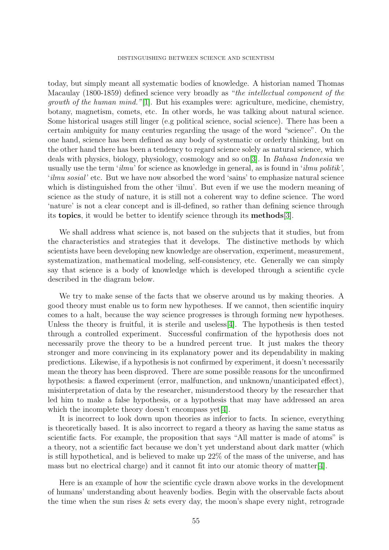today, but simply meant all systematic bodies of knowledge. A historian named Thomas Macaulay (1800-1859) defined science very broadly as "the intellectual component of the *growth of the human mind.*"[\[1\]](#page-8-1). But his examples were: agriculture, medicine, chemistry, botany, magnetism, comets, etc. In other words, he was talking about natural science. Some historical usages still linger (e.g political science, social science). There has been a certain ambiguity for many centuries regarding the usage of the word "science". On the one hand, science has been defined as any body of systematic or orderly thinking, but on the other hand there has been a tendency to regard science solely as natural science, which deals with physics, biology, physiology, cosmology and so on[\[3\]](#page-8-3). In Bahasa Indonesia we usually use the term ' $ilmu$ ' for science as knowledge in general, as is found in ' $ilmu$  politik', 'ilmu sosial' etc. But we have now absorbed the word 'sains' to emphasize natural science which is distinguished from the other 'ilmu'. But even if we use the modern meaning of science as the study of nature, it is still not a coherent way to define science. The word 'nature' is not a clear concept and is ill-defined, so rather than defining science through its topics, it would be better to identify science through its methods[\[3\]](#page-8-3).

We shall address what science is, not based on the subjects that it studies, but from the characteristics and strategies that it develops. The distinctive methods by which scientists have been developing new knowledge are observation, experiment, measurement, systematization, mathematical modeling, self-consistency, etc. Generally we can simply say that science is a body of knowledge which is developed through a scientific cycle described in the diagram below.

We try to make sense of the facts that we observe around us by making theories. A good theory must enable us to form new hypotheses. If we cannot, then scientific inquiry comes to a halt, because the way science progresses is through forming new hypotheses. Unless the theory is fruitful, it is sterile and useless[\[4\]](#page-8-4). The hypothesis is then tested through a controlled experiment. Successful confirmation of the hypothesis does not necessarily prove the theory to be a hundred percent true. It just makes the theory stronger and more convincing in its explanatory power and its dependability in making predictions. Likewise, if a hypothesis is not confirmed by experiment, it doesn't necessarily mean the theory has been disproved. There are some possible reasons for the unconfirmed hypothesis: a flawed experiment (error, malfunction, and unknown/unanticipated effect), misinterpretation of data by the researcher, misunderstood theory by the researcher that led him to make a false hypothesis, or a hypothesis that may have addressed an area which the incomplete theory doesn't encompass yet  $|4|$ .

It is incorrect to look down upon theories as inferior to facts. In science, everything is theoretically based. It is also incorrect to regard a theory as having the same status as scientific facts. For example, the proposition that says "All matter is made of atoms" is a theory, not a scientific fact because we don't yet understand about dark matter (which is still hypothetical, and is believed to make up 22% of the mass of the universe, and has mass but no electrical charge) and it cannot fit into our atomic theory of matter[\[4\]](#page-8-4).

Here is an example of how the scientific cycle drawn above works in the development of humans' understanding about heavenly bodies. Begin with the observable facts about the time when the sun rises & sets every day, the moon's shape every night, retrograde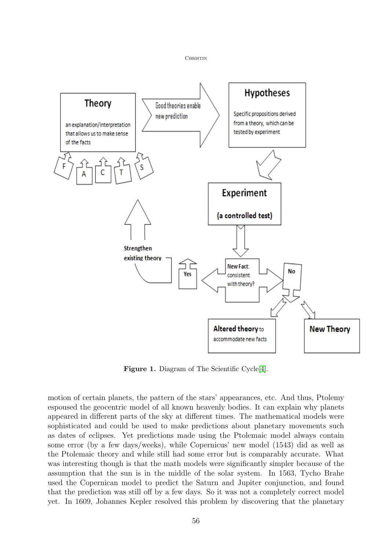

**CHRISTIN** 

Figure 1. Diagram of The Scientific Cycle<sup>[\[4\]](#page-8-4)</sup>.

motion of certain planets, the pattern of the stars' appearances, etc. And thus, Ptolemy espoused the geocentric model of all known heavenly bodies. It can explain why planets appeared in different parts of the sky at different times. The mathematical models were sophisticated and could be used to make predictions about planetary movements such as dates of eclipses. Yet predictions made using the Ptolemaic model always contain some error (by a few days/weeks), while Copernicus' new model (1543) did as well as the Ptolemaic theory and while still had some error but is comparably accurate. What was interesting though is that the math models were significantly simpler because of the assumption that the sun is in the middle of the solar system. In 1563, Tycho Brahe used the Copernican model to predict the Saturn and Jupiter conjunction, and found that the prediction was still off by a few days. So it was not a completely correct model yet. In 1609, Johannes Kepler resolved this problem by discovering that the planetary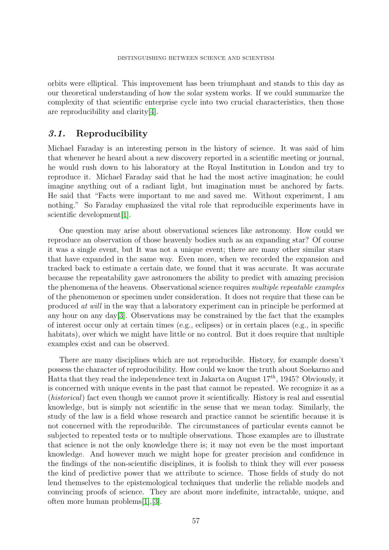orbits were elliptical. This improvement has been triumphant and stands to this day as our theoretical understanding of how the solar system works. If we could summarize the complexity of that scientific enterprise cycle into two crucial characteristics, then those are reproducibility and clarity[\[4\]](#page-8-4).

#### 3.1. Reproducibility

Michael Faraday is an interesting person in the history of science. It was said of him that whenever he heard about a new discovery reported in a scientific meeting or journal, he would rush down to his laboratory at the Royal Institution in London and try to reproduce it. Michael Faraday said that he had the most active imagination; he could imagine anything out of a radiant light, but imagination must be anchored by facts. He said that "Facts were important to me and saved me. Without experiment, I am nothing." So Faraday emphasized the vital role that reproducible experiments have in scientific development[\[1\]](#page-8-1).

One question may arise about observational sciences like astronomy. How could we reproduce an observation of those heavenly bodies such as an expanding star? Of course it was a single event, but It was not a unique event; there are many other similar stars that have expanded in the same way. Even more, when we recorded the expansion and tracked back to estimate a certain date, we found that it was accurate. It was accurate because the repeatability gave astronomers the ability to predict with amazing precision the phenomena of the heavens. Observational science requires *multiple repeatable examples* of the phenomenon or specimen under consideration. It does not require that these can be produced at will in the way that a laboratory experiment can in principle be performed at any hour on any day  $[3]$ . Observations may be constrained by the fact that the examples of interest occur only at certain times (e.g., eclipses) or in certain places (e.g., in specific habitats), over which we might have little or no control. But it does require that multiple examples exist and can be observed.

There are many disciplines which are not reproducible. History, for example doesn't possess the character of reproducibility. How could we know the truth about Soekarno and Hatta that they read the independence text in Jakarta on August  $17^{th}$ , 1945? Obviously, it is concerned with unique events in the past that cannot be repeated. We recognize it as a (historical) fact even though we cannot prove it scientifically. History is real and essential knowledge, but is simply not scientific in the sense that we mean today. Similarly, the study of the law is a field whose research and practice cannot be scientific because it is not concerned with the reproducible. The circumstances of particular events cannot be subjected to repeated tests or to multiple observations. Those examples are to illustrate that science is not the only knowledge there is; it may not even be the most important knowledge. And however much we might hope for greater precision and confidence in the findings of the non-scientific disciplines, it is foolish to think they will ever possess the kind of predictive power that we attribute to science. Those fields of study do not lend themselves to the epistemological techniques that underlie the reliable models and convincing proofs of science. They are about more indefinite, intractable, unique, and often more human problems[\[1\]](#page-8-1),[\[3\]](#page-8-3).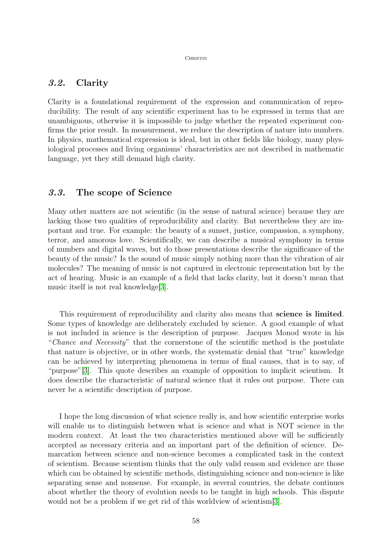#### Christin

### 3.2. Clarity

Clarity is a foundational requirement of the expression and communication of reproducibility. The result of any scientific experiment has to be expressed in terms that are unambiguous, otherwise it is impossible to judge whether the repeated experiment confirms the prior result. In measurement, we reduce the description of nature into numbers. In physics, mathematical expression is ideal, but in other fields like biology, many physiological processes and living organisms' characteristics are not described in mathematic language, yet they still demand high clarity.

#### 3.3. The scope of Science

Many other matters are not scientific (in the sense of natural science) because they are lacking those two qualities of reproducibility and clarity. But nevertheless they are important and true. For example: the beauty of a sunset, justice, compassion, a symphony, terror, and amorous love. Scientifically, we can describe a musical symphony in terms of numbers and digital waves, but do those presentations describe the significance of the beauty of the music? Is the sound of music simply nothing more than the vibration of air molecules? The meaning of music is not captured in electronic representation but by the act of hearing. Music is an example of a field that lacks clarity, but it doesn't mean that music itself is not real knowledge[\[3\]](#page-8-3).

This requirement of reproducibility and clarity also means that science is limited. Some types of knowledge are deliberately excluded by science. A good example of what is not included in science is the description of purpose. Jacques Monod wrote in his "Chance and Necessity" that the cornerstone of the scientific method is the postulate that nature is objective, or in other words, the systematic denial that "true" knowledge can be achieved by interpreting phenomena in terms of final causes, that is to say, of "purpose"[\[3\]](#page-8-3). This quote describes an example of opposition to implicit scientism. It does describe the characteristic of natural science that it rules out purpose. There can never be a scientific description of purpose.

I hope the long discussion of what science really is, and how scientific enterprise works will enable us to distinguish between what is science and what is NOT science in the modern context. At least the two characteristics mentioned above will be sufficiently accepted as necessary criteria and an important part of the definition of science. Demarcation between science and non-science becomes a complicated task in the context of scientism. Because scientism thinks that the only valid reason and evidence are those which can be obtained by scientific methods, distinguishing science and non-science is like separating sense and nonsense. For example, in several countries, the debate continues about whether the theory of evolution needs to be taught in high schools. This dispute would not be a problem if we get rid of this worldview of scientism [\[3\]](#page-8-3).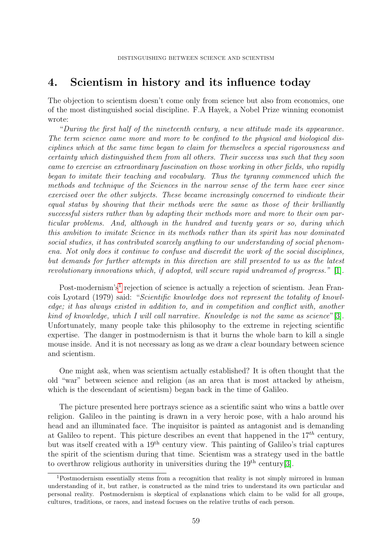## 4. Scientism in history and its influence today

The objection to scientism doesn't come only from science but also from economics, one of the most distinguished social discipline. F.A Hayek, a Nobel Prize winning economist wrote:

"During the first half of the nineteenth century, a new attitude made its appearance. The term science came more and more to be confined to the physical and biological disciplines which at the same time began to claim for themselves a special rigorousness and certainty which distinguished them from all others. Their success was such that they soon came to exercise an extraordinary fascination on those working in other fields, who rapidly began to imitate their teaching and vocabulary. Thus the tyranny commenced which the methods and technique of the Sciences in the narrow sense of the term have ever since exercised over the other subjects. These became increasingly concerned to vindicate their equal status by showing that their methods were the same as those of their brilliantly successful sisters rather than by adapting their methods more and more to their own particular problems. And, although in the hundred and twenty years or so, during which this ambition to imitate Science in its methods rather than its spirit has now dominated social studies, it has contributed scarcely anything to our understanding of social phenomena. Not only does it continue to confuse and discredit the work of the social disciplines, but demands for further attempts in this direction are still presented to us as the latest revolutionary innovations which, if adopted, will secure rapid undreamed of progress." [\[1\]](#page-8-1).

Post-modernism's<sup>[1](#page-6-0)</sup> rejection of science is actually a rejection of scientism. Jean Francois Lyotard (1979) said: "Scientific knowledge does not represent the totality of knowledge; it has always existed in addition to, and in competition and conflict with, another kind of knowledge, which I will call narrative. Knowledge is not the same as science"[\[3\]](#page-8-3). Unfortunately, many people take this philosophy to the extreme in rejecting scientific expertise. The danger in postmodernism is that it burns the whole barn to kill a single mouse inside. And it is not necessary as long as we draw a clear boundary between science and scientism.

One might ask, when was scientism actually established? It is often thought that the old "war" between science and religion (as an area that is most attacked by atheism, which is the descendant of scientism) began back in the time of Galileo.

The picture presented here portrays science as a scientific saint who wins a battle over religion. Galileo in the painting is drawn in a very heroic pose, with a halo around his head and an illuminated face. The inquisitor is painted as antagonist and is demanding at Galileo to repent. This picture describes an event that happened in the  $17^{th}$  century, but was itself created with a 19th century view. This painting of Galileo's trial captures the spirit of the scientism during that time. Scientism was a strategy used in the battle to overthrow religious authority in universities during the  $19<sup>th</sup>$  century[\[3\]](#page-8-3).

<span id="page-6-0"></span><sup>1</sup>Postmodernism essentially stems from a recognition that reality is not simply mirrored in human understanding of it, but rather, is constructed as the mind tries to understand its own particular and personal reality. Postmodernism is skeptical of explanations which claim to be valid for all groups, cultures, traditions, or races, and instead focuses on the relative truths of each person.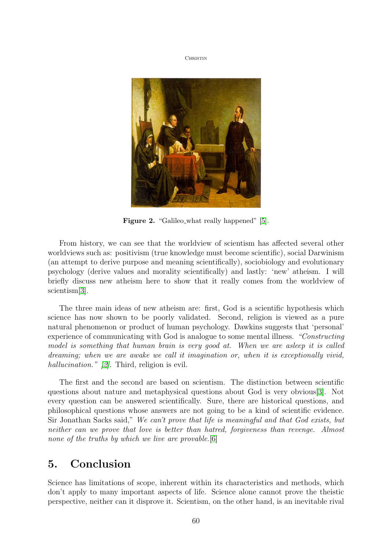**CHRISTIN** 



Figure 2. "Galileo\_what really happened" [\[5\]](#page-8-5).

From history, we can see that the worldview of scientism has affected several other worldviews such as: positivism (true knowledge must become scientific), social Darwinism (an attempt to derive purpose and meaning scientifically), sociobiology and evolutionary psychology (derive values and morality scientifically) and lastly: 'new' atheism. I will briefly discuss new atheism here to show that it really comes from the worldview of scientism[\[3\]](#page-8-3).

The three main ideas of new atheism are: first, God is a scientific hypothesis which science has now shown to be poorly validated. Second, religion is viewed as a pure natural phenomenon or product of human psychology. Dawkins suggests that 'personal' experience of communicating with God is analogue to some mental illness. "Constructing model is something that human brain is very good at. When we are asleep it is called dreaming; when we are awake we call it imagination or, when it is exceptionally vivid, hallucination." [\[2\]](#page-8-2). Third, religion is evil.

The first and the second are based on scientism. The distinction between scientific questions about nature and metaphysical questions about God is very obvious[\[3\]](#page-8-3). Not every question can be answered scientifically. Sure, there are historical questions, and philosophical questions whose answers are not going to be a kind of scientific evidence. Sir Jonathan Sacks said," We can't prove that life is meaningful and that God exists, but neither can we prove that love is better than hatred, forgiveness than revenge. Almost none of the truths by which we live are provable. [\[6\]](#page-8-6)

## 5. Conclusion

Science has limitations of scope, inherent within its characteristics and methods, which don't apply to many important aspects of life. Science alone cannot prove the theistic perspective, neither can it disprove it. Scientism, on the other hand, is an inevitable rival